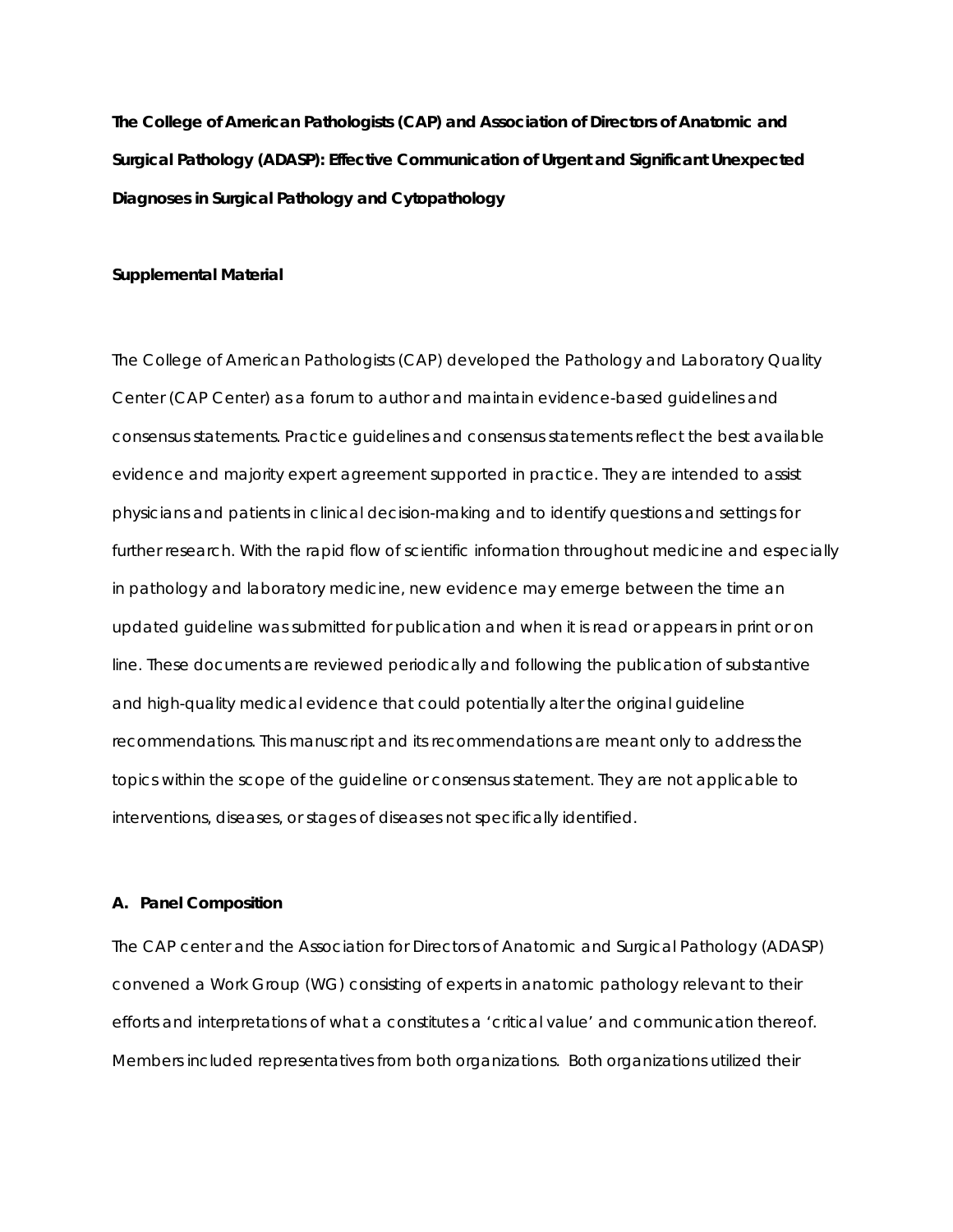**The College of American Pathologists (CAP) and Association of Directors of Anatomic and Surgical Pathology (ADASP): Effective Communication of Urgent and Significant Unexpected Diagnoses in Surgical Pathology and Cytopathology** 

#### **Supplemental Material**

The College of American Pathologists (CAP) developed the Pathology and Laboratory Quality Center (CAP Center) as a forum to author and maintain evidence-based guidelines and consensus statements. Practice guidelines and consensus statements reflect the best available evidence and majority expert agreement supported in practice. They are intended to assist physicians and patients in clinical decision-making and to identify questions and settings for further research. With the rapid flow of scientific information throughout medicine and especially in pathology and laboratory medicine, new evidence may emerge between the time an updated guideline was submitted for publication and when it is read or appears in print or on line. These documents are reviewed periodically and following the publication of substantive and high-quality medical evidence that could potentially alter the original guideline recommendations. This manuscript and its recommendations are meant only to address the topics within the scope of the guideline or consensus statement. They are not applicable to interventions, diseases, or stages of diseases not specifically identified.

#### **A. Panel Composition**

The CAP center and the Association for Directors of Anatomic and Surgical Pathology (ADASP) convened a Work Group (WG) consisting of experts in anatomic pathology relevant to their efforts and interpretations of what a constitutes a 'critical value' and communication thereof. Members included representatives from both organizations. Both organizations utilized their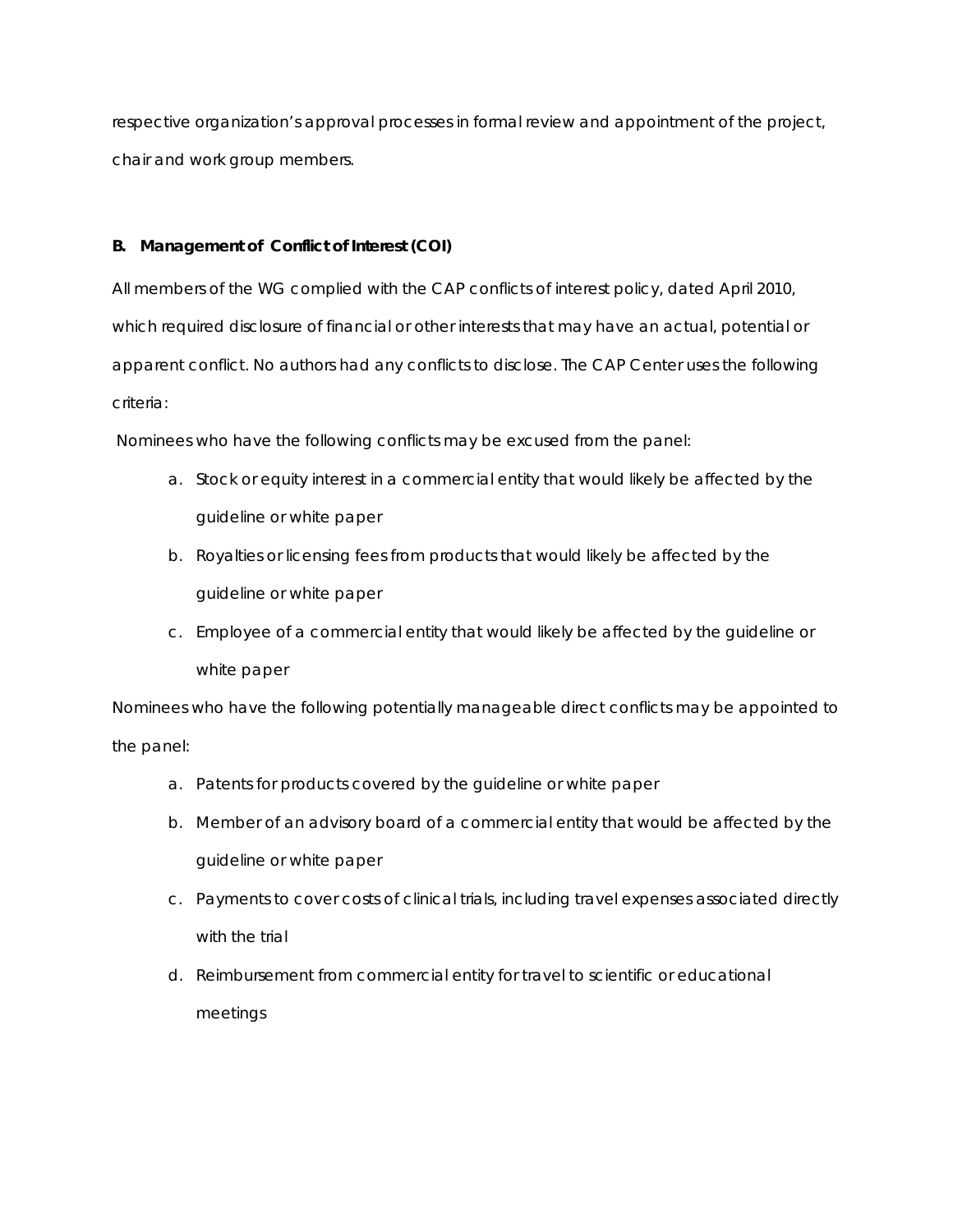respective organization's approval processes in formal review and appointment of the project, chair and work group members.

# **B. Management of Conflict of Interest (COI)**

All members of the WG complied with the CAP conflicts of interest policy, dated April 2010, which required disclosure of financial or other interests that may have an actual, potential or apparent conflict. No authors had any conflicts to disclose. The CAP Center uses the following criteria:

Nominees who have the following conflicts may be excused from the panel:

- a. Stock or equity interest in a commercial entity that would likely be affected by the guideline or white paper
- b. Royalties or licensing fees from products that would likely be affected by the guideline or white paper
- c. Employee of a commercial entity that would likely be affected by the guideline or white paper

Nominees who have the following potentially manageable direct conflicts may be appointed to the panel:

- a. Patents for products covered by the guideline or white paper
- b. Member of an advisory board of a commercial entity that would be affected by the guideline or white paper
- c. Payments to cover costs of clinical trials, including travel expenses associated directly with the trial
- d. Reimbursement from commercial entity for travel to scientific or educational meetings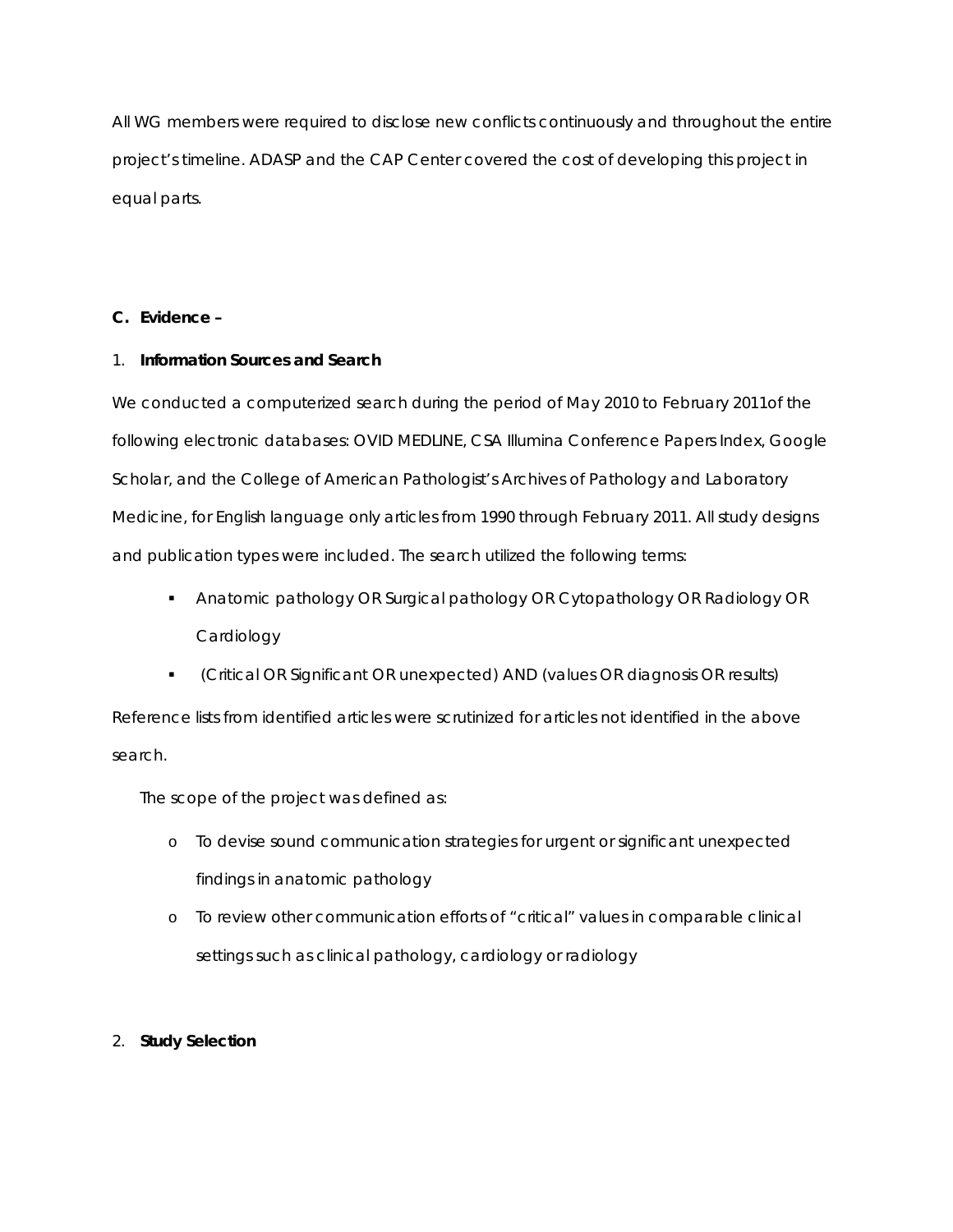All WG members were required to disclose new conflicts continuously and throughout the entire project's timeline. ADASP and the CAP Center covered the cost of developing this project in equal parts.

# **C. Evidence –**

## 1. **Information Sources and Search**

We conducted a computerized search during the period of May 2010 to February 2011of the following electronic databases: OVID MEDLINE, CSA Illumina Conference Papers Index, Google Scholar, and the College of American Pathologist's *Archives of Pathology and Laboratory Medicine*, for English language only articles from 1990 through February 2011. All study designs and publication types were included. The search utilized the following terms:

- Anatomic pathology OR Surgical pathology OR Cytopathology OR Radiology OR **Cardiology**
- (Critical OR Significant OR unexpected) AND (values OR diagnosis OR results)

Reference lists from identified articles were scrutinized for articles not identified in the above search.

The scope of the project was defined as:

- o To devise sound communication strategies for urgent or significant unexpected findings in anatomic pathology
- o To review other communication efforts of "critical" values in comparable clinical settings such as clinical pathology, cardiology or radiology

# 2. **Study Selection**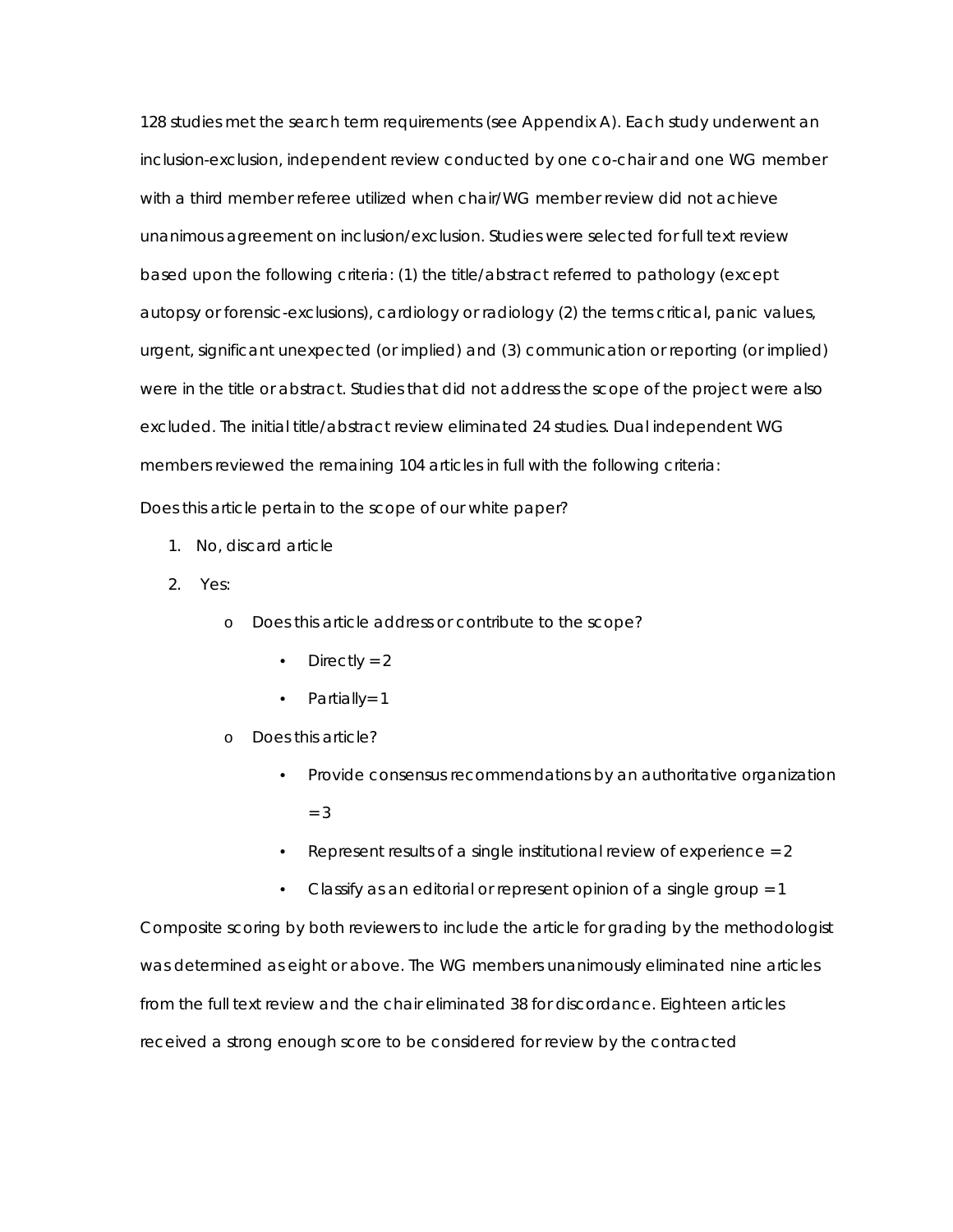128 studies met the search term requirements (see Appendix A). Each study underwent an inclusion-exclusion, independent review conducted by one co-chair and one WG member with a third member referee utilized when chair/WG member review did not achieve unanimous agreement on inclusion/exclusion. Studies were selected for full text review based upon the following criteria: (1) the title/abstract referred to pathology (except autopsy or forensic-exclusions), cardiology or radiology (2) the terms critical, panic values, urgent, significant unexpected (or implied) and (3) communication or reporting (or implied) were in the title or abstract. Studies that did not address the scope of the project were also excluded. The initial title/abstract review eliminated 24 studies. Dual independent WG members reviewed the remaining 104 articles in full with the following criteria:

Does this article pertain to the scope of our white paper?

- 1. No, discard article
- 2. Yes:
	- o Does this article address or contribute to the scope?
		- Directly =  $2$
		- Partially= 1
	- o Does this article?
		- Provide *consensus recommendations* by an authoritative organization  $= 3$
		- Represent *results* of a single institutional review of experience = 2
		- Classify as an *editorial* or represent *opinion* of a single group = 1

Composite scoring by both reviewers to include the article for grading by the methodologist was determined as eight or above. The WG members unanimously eliminated nine articles from the full text review and the chair eliminated 38 for discordance. Eighteen articles received a strong enough score to be considered for review by the contracted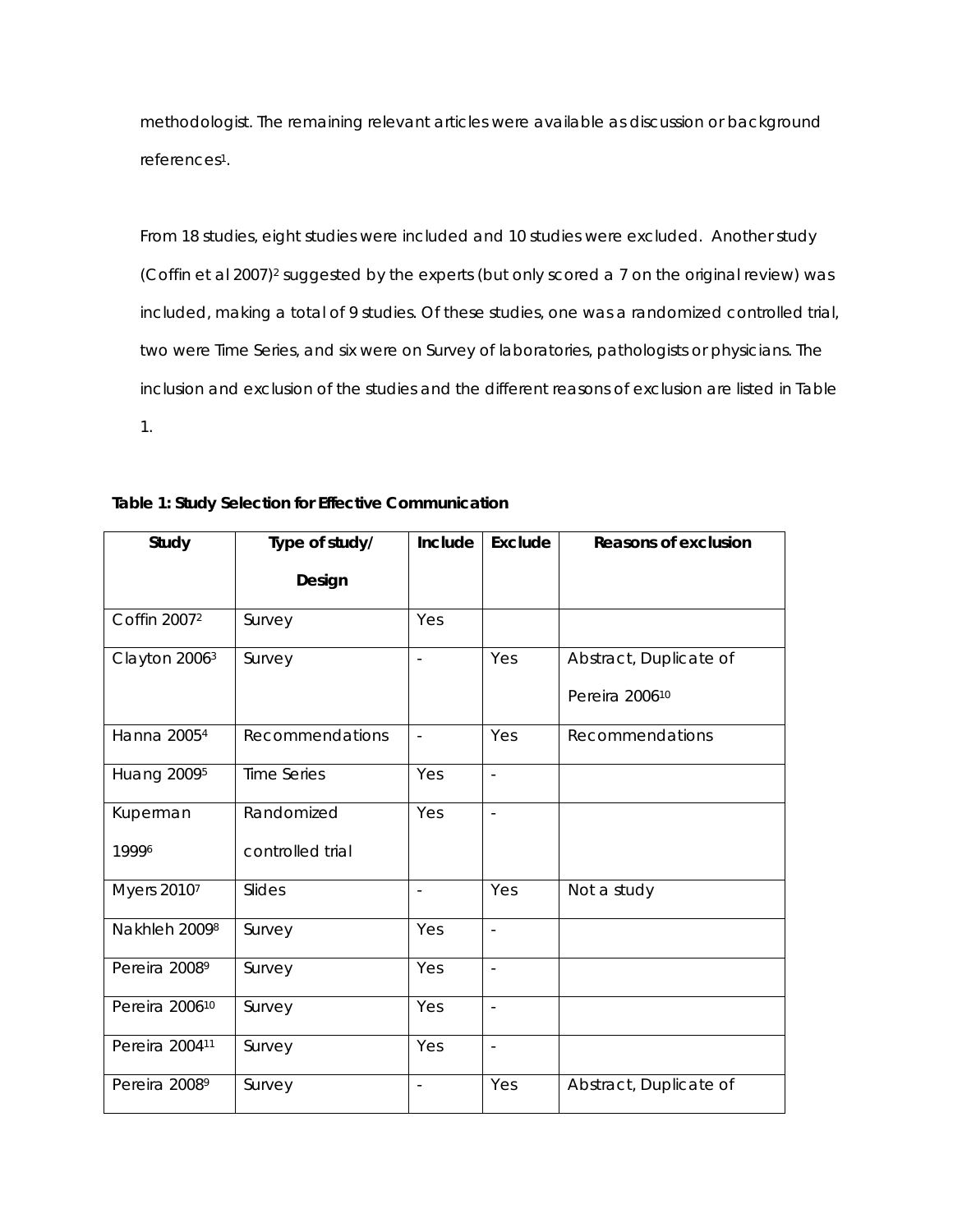methodologist. The remaining relevant articles were available as discussion or background references1.

From 18 studies, eight studies were included and 10 studies were excluded. Another study (Coffin et al 2007)2 suggested by the experts (but only scored a 7 on the original review) was included, making a total of 9 studies. Of these studies, one was a randomized controlled trial, two were Time Series, and six were on Survey of laboratories, pathologists or physicians. The inclusion and exclusion of the studies and the different reasons of exclusion are listed in Table 1.

| Study                          | Type of study/     | Include                  | Exclude                  | <b>Reasons of exclusion</b> |
|--------------------------------|--------------------|--------------------------|--------------------------|-----------------------------|
|                                | Design             |                          |                          |                             |
| Coffin 2007 <sup>2</sup>       | Survey             | Yes                      |                          |                             |
| Clayton 2006 <sup>3</sup>      | Survey             | $\overline{\phantom{a}}$ | Yes                      | Abstract, Duplicate of      |
|                                |                    |                          |                          | Pereira 200610              |
| Hanna 2005 <sup>4</sup>        | Recommendations    | $\overline{\phantom{a}}$ | Yes                      | Recommendations             |
| <b>Huang 2009</b> <sup>5</sup> | <b>Time Series</b> | Yes                      | $\overline{\phantom{a}}$ |                             |
| Kuperman                       | Randomized         | Yes                      | $\overline{\phantom{a}}$ |                             |
| 19996                          | controlled trial   |                          |                          |                             |
| Myers 20107                    | Slides             | $\mathbf{r}$             | Yes                      | Not a study                 |
| Nakhleh 20098                  | Survey             | Yes                      | $\overline{\phantom{a}}$ |                             |
| Pereira 2008 <sup>9</sup>      | Survey             | Yes                      | $\overline{\phantom{a}}$ |                             |
| Pereira 2006 <sup>10</sup>     | Survey             | Yes                      | $\overline{\phantom{a}}$ |                             |
| Pereira 200411                 | Survey             | Yes                      | $\overline{\phantom{a}}$ |                             |
| Pereira 2008 <sup>9</sup>      | Survey             | $\overline{a}$           | Yes                      | Abstract, Duplicate of      |

## **Table 1: Study Selection for Effective Communication**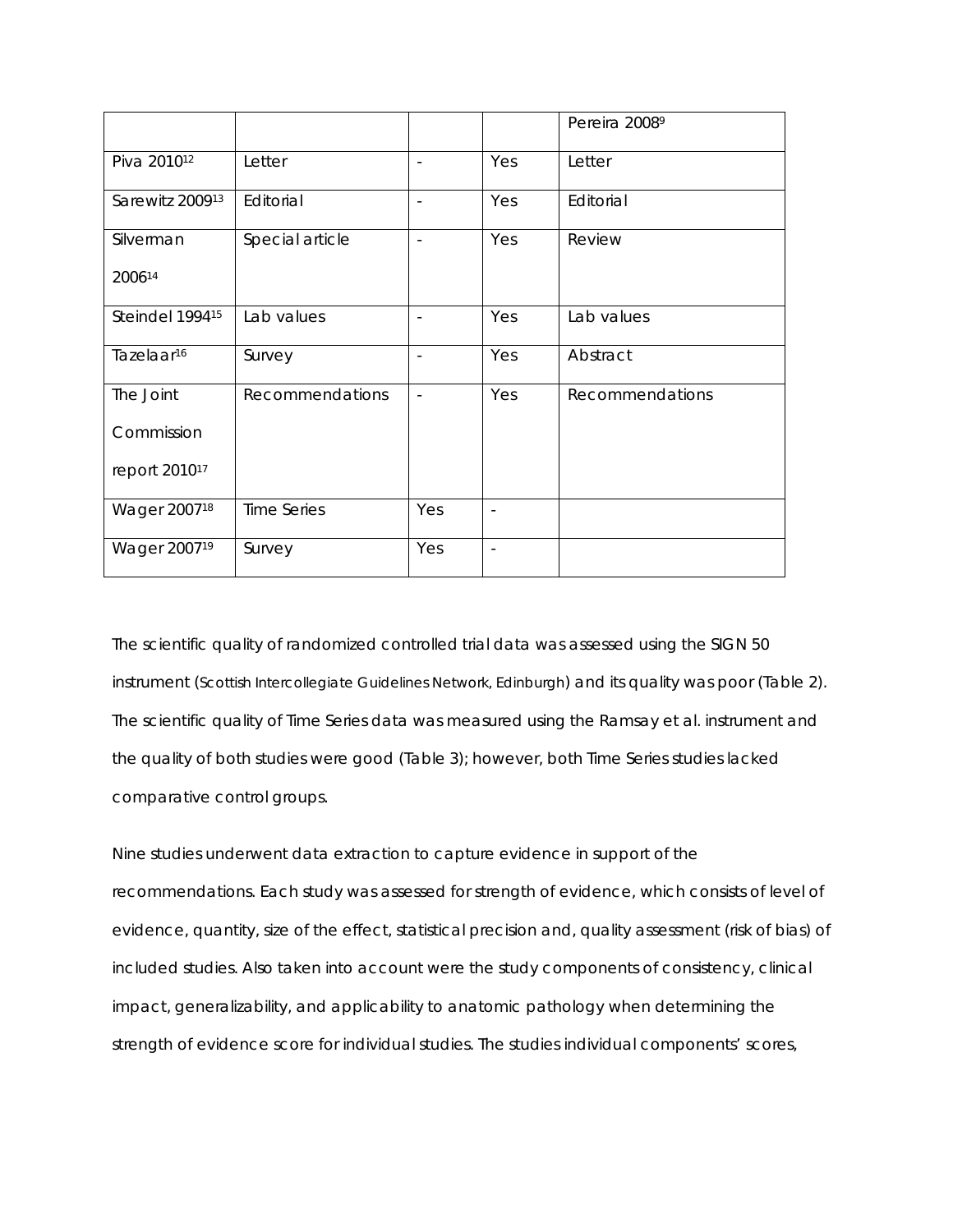|                           |                 |                          |                          | Pereira 20089   |
|---------------------------|-----------------|--------------------------|--------------------------|-----------------|
| Piva 2010 <sup>12</sup>   | Letter          | $\overline{\phantom{a}}$ | Yes                      | Letter          |
| Sarewitz 200913           | Editorial       | $\overline{\phantom{a}}$ | Yes                      | Editorial       |
| Silverman                 | Special article | $\sim$                   | Yes                      | Review          |
| 200614                    |                 |                          |                          |                 |
| Steindel 199415           | Lab values      | $\overline{\phantom{a}}$ | Yes                      | Lab values      |
| Tazelaar <sup>16</sup>    | Survey          | $\overline{\phantom{a}}$ | Yes                      | Abstract        |
| The Joint                 | Recommendations | $\overline{\phantom{a}}$ | Yes                      | Recommendations |
| Commission                |                 |                          |                          |                 |
| report 2010 <sup>17</sup> |                 |                          |                          |                 |
| Wager 200718              | Time Series     | Yes                      | $\overline{\phantom{a}}$ |                 |
| Wager 2007 <sup>19</sup>  | Survey          | Yes                      | $\blacksquare$           |                 |

The scientific quality of randomized controlled trial data was assessed using the SIGN 50 instrument (Scottish Intercollegiate Guidelines Network, Edinburgh) and its quality was poor (Table 2). The scientific quality of Time Series data was measured using the Ramsay et al. instrument and the quality of both studies were good (Table 3); however, both Time Series studies lacked comparative control groups.

Nine studies underwent data extraction to capture evidence in support of the recommendations. Each study was assessed for strength of evidence, which consists of level of evidence, quantity, size of the effect, statistical precision and, quality assessment (risk of bias) of included studies. Also taken into account were the study components of consistency, clinical impact, generalizability, and applicability to anatomic pathology when determining the strength of evidence score for individual studies. The studies individual components' scores,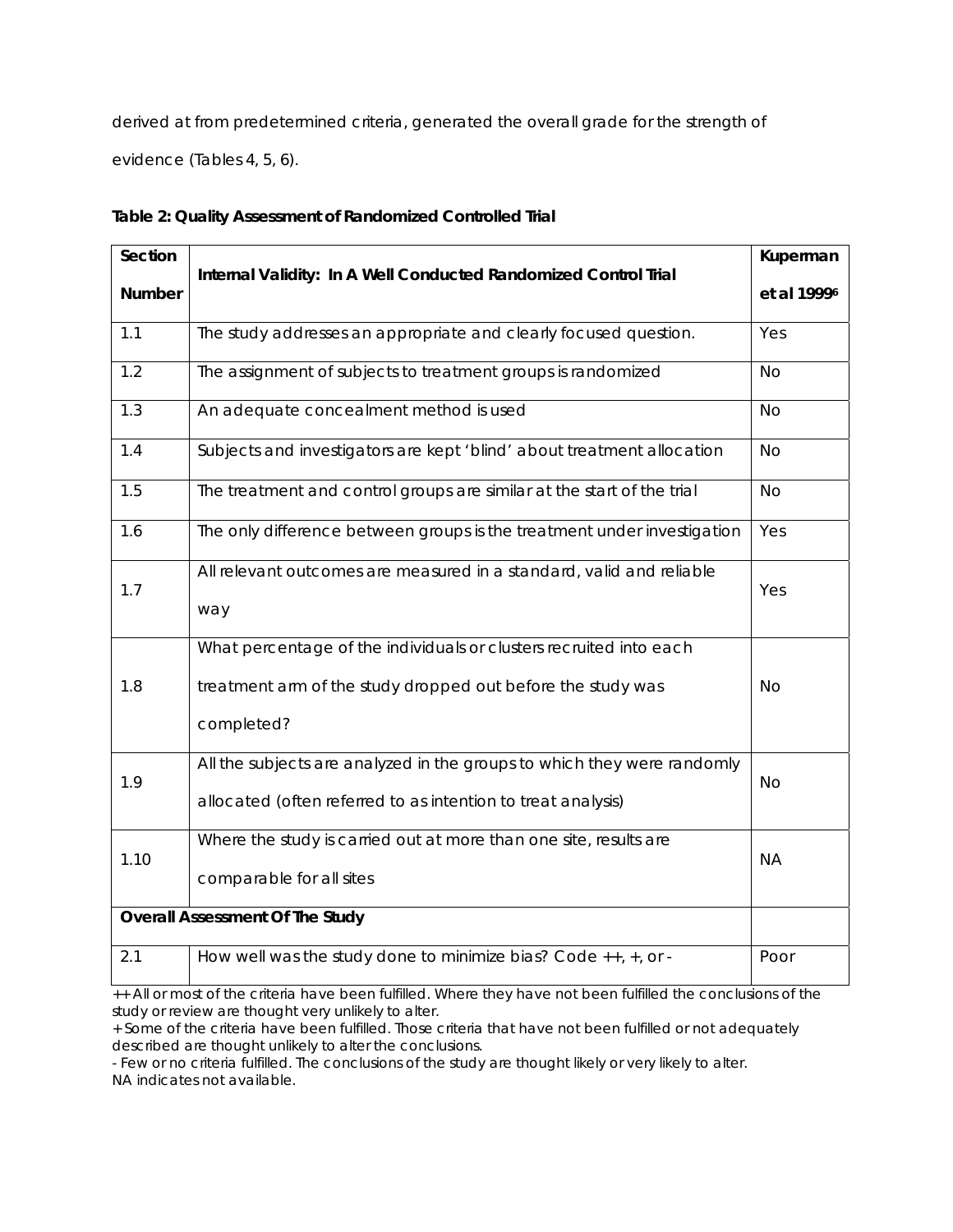derived at from predetermined criteria, generated the overall grade for the strength of evidence (Tables 4, 5, 6).

| Section |                                                                                                                                                 |                         |
|---------|-------------------------------------------------------------------------------------------------------------------------------------------------|-------------------------|
| Number  | Internal Validity: In A Well Conducted Randomized Control Trial                                                                                 | et al 1999 <sup>6</sup> |
| 1.1     | The study addresses an appropriate and clearly focused question.                                                                                | Yes                     |
| 1.2     | The assignment of subjects to treatment groups is randomized                                                                                    | <b>No</b>               |
| 1.3     | An adequate concealment method is used                                                                                                          | <b>No</b>               |
| 1.4     | Subjects and investigators are kept 'blind' about treatment allocation                                                                          | <b>No</b>               |
| 1.5     | The treatment and control groups are similar at the start of the trial                                                                          | <b>No</b>               |
| 1.6     | The only difference between groups is the treatment under investigation                                                                         | Yes                     |
| 1.7     | All relevant outcomes are measured in a standard, valid and reliable<br>way                                                                     | Yes                     |
| 1.8     | What percentage of the individuals or clusters recruited into each<br>treatment arm of the study dropped out before the study was<br>completed? | <b>No</b>               |
| 1.9     | All the subjects are analyzed in the groups to which they were randomly<br>allocated (often referred to as intention to treat analysis)         | <b>No</b>               |
| 1.10    | Where the study is carried out at more than one site, results are<br>comparable for all sites                                                   | <b>NA</b>               |
|         | <b>Overall Assessment Of The Study</b>                                                                                                          |                         |
| 2.1     | How well was the study done to minimize bias? Code ++, +, or -                                                                                  | Poor                    |

# **Table 2: Quality Assessment of Randomized Controlled Trial**

++ All or most of the criteria have been fulfilled. Where they have not been fulfilled the conclusions of the study or review are thought very unlikely to alter.

+ Some of the criteria have been fulfilled. Those criteria that have not been fulfilled or not adequately described are thought unlikely to alter the conclusions.

- Few or no criteria fulfilled. The conclusions of the study are thought likely or very likely to alter. NA indicates not available.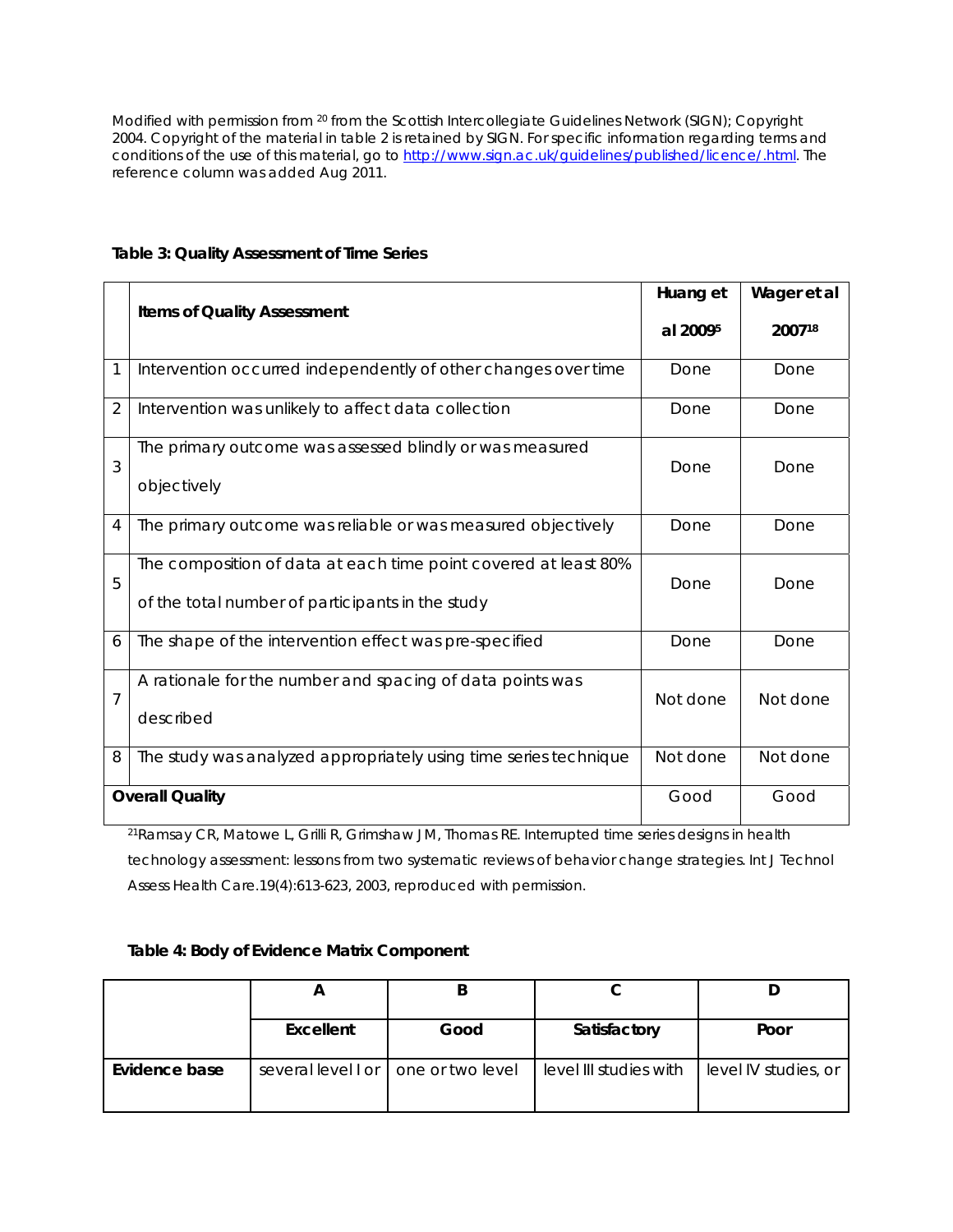Modified with permission from 20 from the Scottish Intercollegiate Guidelines Network (SIGN); Copyright 2004. Copyright of the material in table 2 is retained by SIGN. For specific information regarding terms and conditions of the use of this material, go to http://www.sign.ac.uk/guidelines/published/licence/.html. The reference column was added Aug 2011.

|                |                                                                                                                     | Huang et | Wager et al |
|----------------|---------------------------------------------------------------------------------------------------------------------|----------|-------------|
|                | <b>Items of Quality Assessment</b>                                                                                  |          | 200718      |
| 1              | Intervention occurred independently of other changes over time                                                      | Done     | Done        |
| $\overline{2}$ | Intervention was unlikely to affect data collection                                                                 | Done     | Done        |
| 3              | The primary outcome was assessed blindly or was measured<br>objectively                                             | Done     | Done        |
| 4              | The primary outcome was reliable or was measured objectively                                                        | Done     | Done        |
| 5              | The composition of data at each time point covered at least 80%<br>of the total number of participants in the study | Done     | Done        |
| 6              | The shape of the intervention effect was pre-specified                                                              | Done     | Done        |
| $\overline{7}$ | A rationale for the number and spacing of data points was<br>described                                              | Not done | Not done    |
| 8              | The study was analyzed appropriately using time series technique                                                    | Not done | Not done    |
|                | <b>Overall Quality</b>                                                                                              | Good     | Good        |

## **Table 3: Quality Assessment of Time Series**

<sup>21</sup>Ramsay CR, Matowe L, Grilli R, Grimshaw JM, Thomas RE. Interrupted time series designs in health technology assessment: lessons from two systematic reviews of behavior change strategies. *Int J Technol Assess Health Care.*19(4):613-623, 2003, reproduced with permission.

#### **Table 4: Body of Evidence Matrix Component**

|               | Excellent | Good                                  | Satisfactory           | Poor                 |
|---------------|-----------|---------------------------------------|------------------------|----------------------|
| Evidence base |           | several level I or   one or two level | level III studies with | level IV studies, or |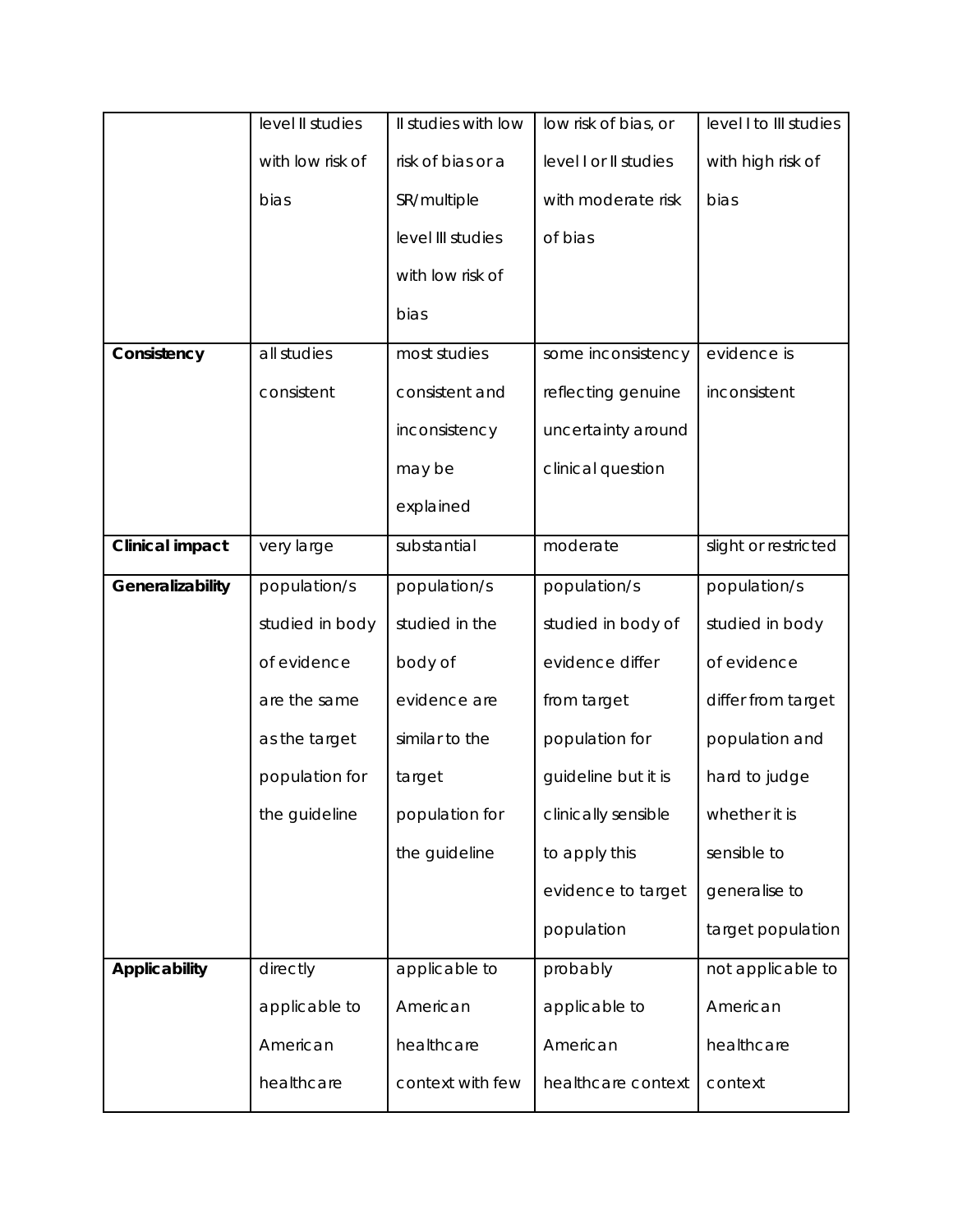|                        | level II studies | Il studies with low | low risk of bias, or  | level I to III studies |
|------------------------|------------------|---------------------|-----------------------|------------------------|
|                        | with low risk of | risk of bias or a   | level I or II studies | with high risk of      |
|                        | bias             | SR/multiple         | with moderate risk    | bias                   |
|                        |                  | level III studies   | of bias               |                        |
|                        |                  | with low risk of    |                       |                        |
|                        |                  | bias                |                       |                        |
| Consistency            | all studies      | most studies        | some inconsistency    | evidence is            |
|                        | consistent       | consistent and      | reflecting genuine    | inconsistent           |
|                        |                  | inconsistency       | uncertainty around    |                        |
|                        |                  | may be              | clinical question     |                        |
|                        |                  | explained           |                       |                        |
| <b>Clinical impact</b> | very large       | substantial         | moderate              | slight or restricted   |
| Generalizability       | population/s     | population/s        | population/s          | population/s           |
|                        | studied in body  | studied in the      | studied in body of    | studied in body        |
|                        | of evidence      | body of             | evidence differ       | of evidence            |
|                        | are the same     | evidence are        | from target           | differ from target     |
|                        | as the target    | similar to the      | population for        | population and         |
|                        | population for   | target              | guideline but it is   | hard to judge          |
|                        | the guideline    | population for      | clinically sensible   | whether it is          |
|                        |                  | the guideline       | to apply this         | sensible to            |
|                        |                  |                     | evidence to target    | generalise to          |
|                        |                  |                     | population            | target population      |
| Applicability          | directly         | applicable to       | probably              | not applicable to      |
|                        | applicable to    | American            | applicable to         | American               |
|                        | American         | healthcare          | American              | healthcare             |
|                        | healthcare       | context with few    | healthcare context    | context                |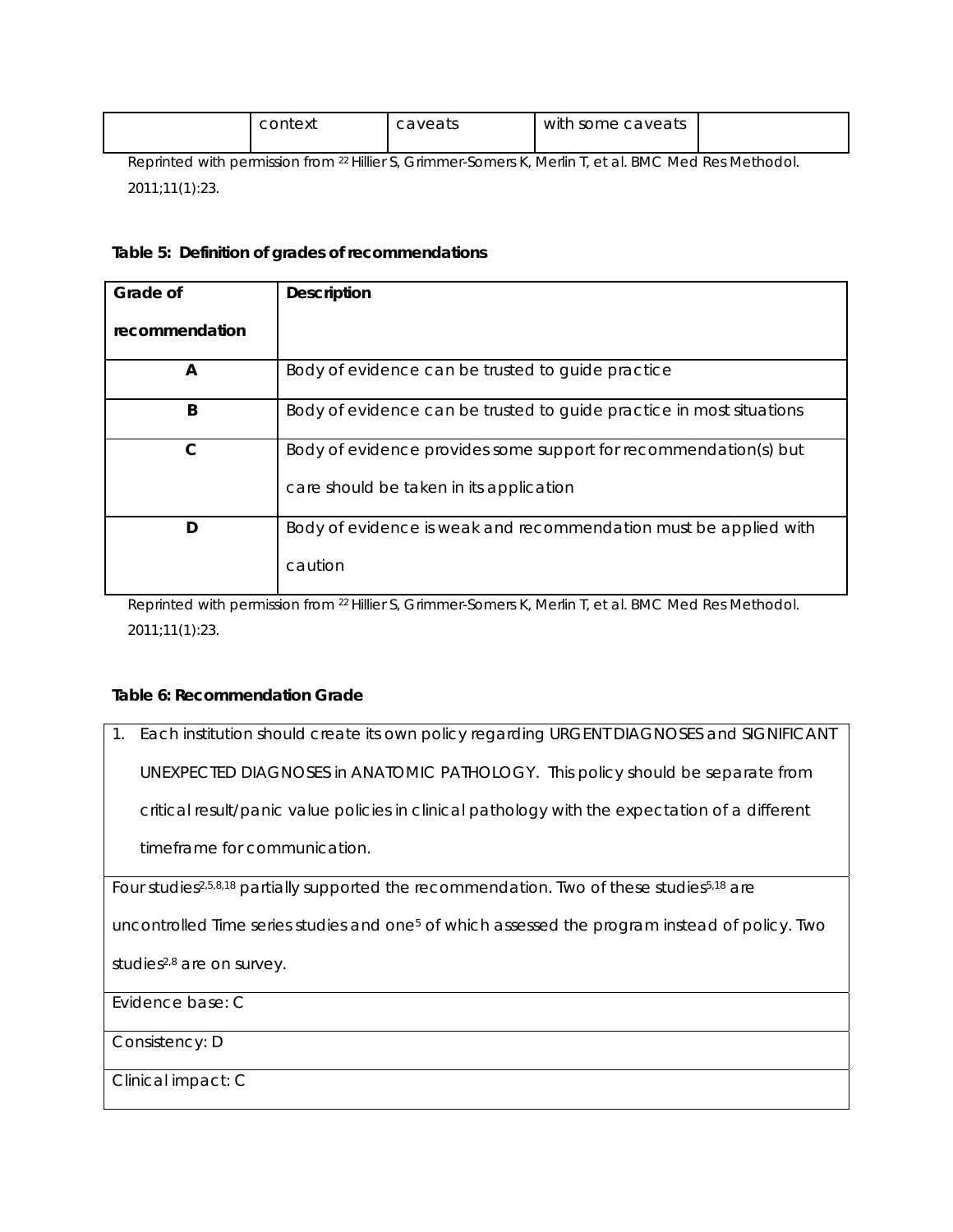| context                                                                                                    | caveats | with some caveats |  |
|------------------------------------------------------------------------------------------------------------|---------|-------------------|--|
| Deprinted with permission from 21 Hiller C. Crimmer Comers K. Merlin I. of al. <i>DMC Med Des Mothodol</i> |         |                   |  |

Reprinted with permission from 22 Hillier S, Grimmer-Somers K, Merlin T, et al. *BMC Med Res Methodol.*  2011;11(1):23.

#### **Table 5: Definition of grades of recommendations**

| Grade of       | <b>Description</b>                                                   |
|----------------|----------------------------------------------------------------------|
| recommendation |                                                                      |
| A              | Body of evidence can be trusted to guide practice                    |
| B              | Body of evidence can be trusted to guide practice in most situations |
| C              | Body of evidence provides some support for recommendation(s) but     |
|                | care should be taken in its application                              |
| D              | Body of evidence is weak and recommendation must be applied with     |
|                | caution                                                              |

Reprinted with permission from 22 Hillier S, Grimmer-Somers K, Merlin T, et al. *BMC Med Res Methodol.*  2011;11(1):23.

#### **Table 6: Recommendation Grade**

1. Each institution should create its own policy regarding URGENT DIAGNOSES and SIGNIFICANT UNEXPECTED DIAGNOSES in ANATOMIC PATHOLOGY. This policy should be separate from critical result/panic value policies in clinical pathology with the expectation of a different timeframe for communication.

Four studies<sup>2,5,8,18</sup> partially supported the recommendation. Two of these studies<sup>5,18</sup> are

uncontrolled Time series studies and one5 of which assessed the program instead of policy. Two

studies<sup>2,8</sup> are on survey.

Evidence base: C

Consistency: D

Clinical impact: C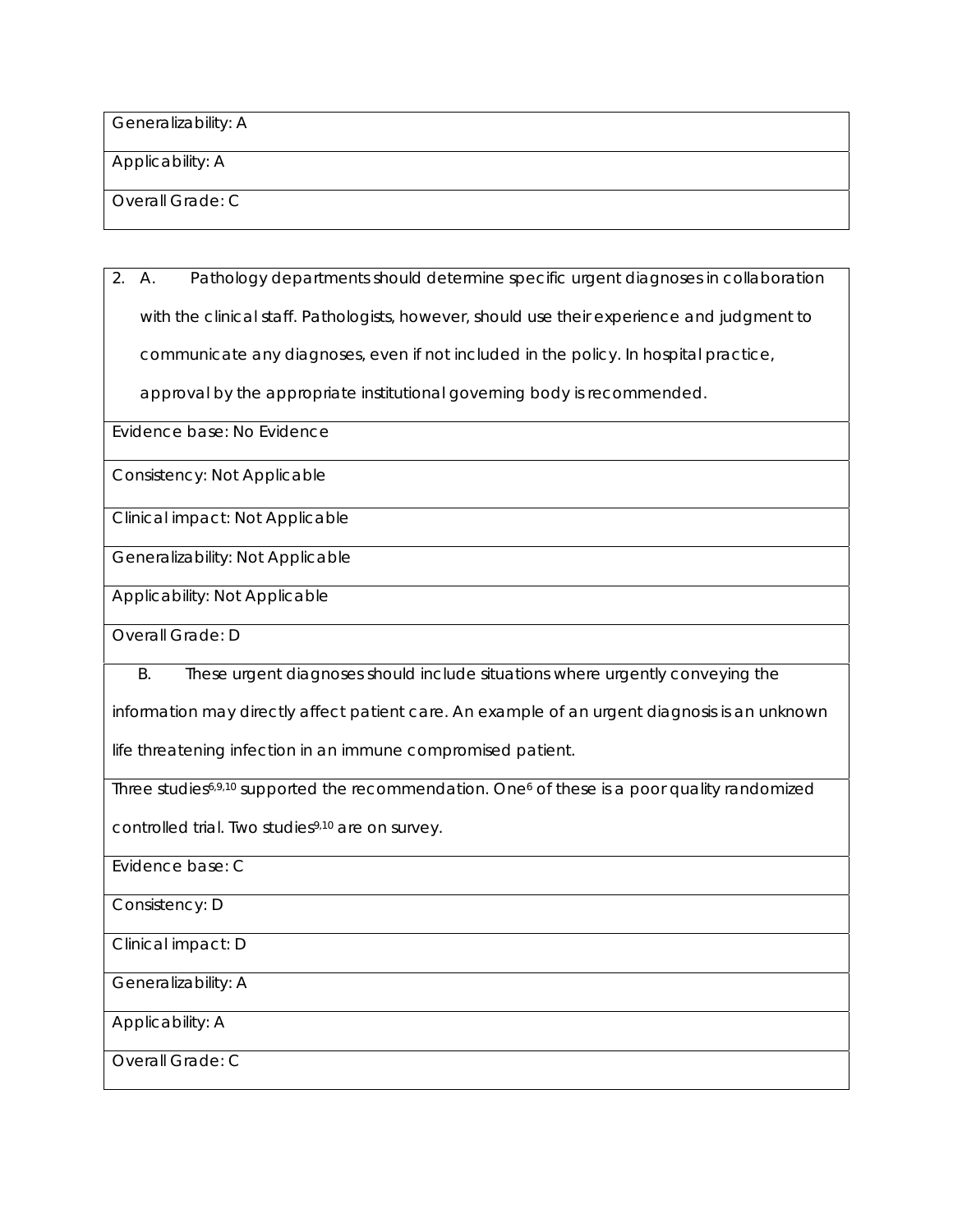Generalizability: A

Applicability: A

Overall Grade: C

2. A. Pathology departments should determine specific urgent diagnoses in collaboration with the clinical staff. Pathologists, however, should use their experience and judgment to communicate any diagnoses, even if not included in the policy. In hospital practice,

approval by the appropriate institutional governing body is recommended.

Evidence base: No Evidence

Consistency: Not Applicable

Clinical impact: Not Applicable

Generalizability: Not Applicable

Applicability: Not Applicable

Overall Grade: D

B. These urgent diagnoses should include situations where urgently conveying the

information may directly affect patient care. An example of an urgent diagnosis is an unknown

life threatening infection in an immune compromised patient.

Three studies<sup>6,9,10</sup> supported the recommendation. One<sup>6</sup> of these is a poor quality randomized

controlled trial. Two studies<sup>9,10</sup> are on survey.

Evidence base: C

Consistency: D

Clinical impact: D

Generalizability: A

Applicability: A

Overall Grade: C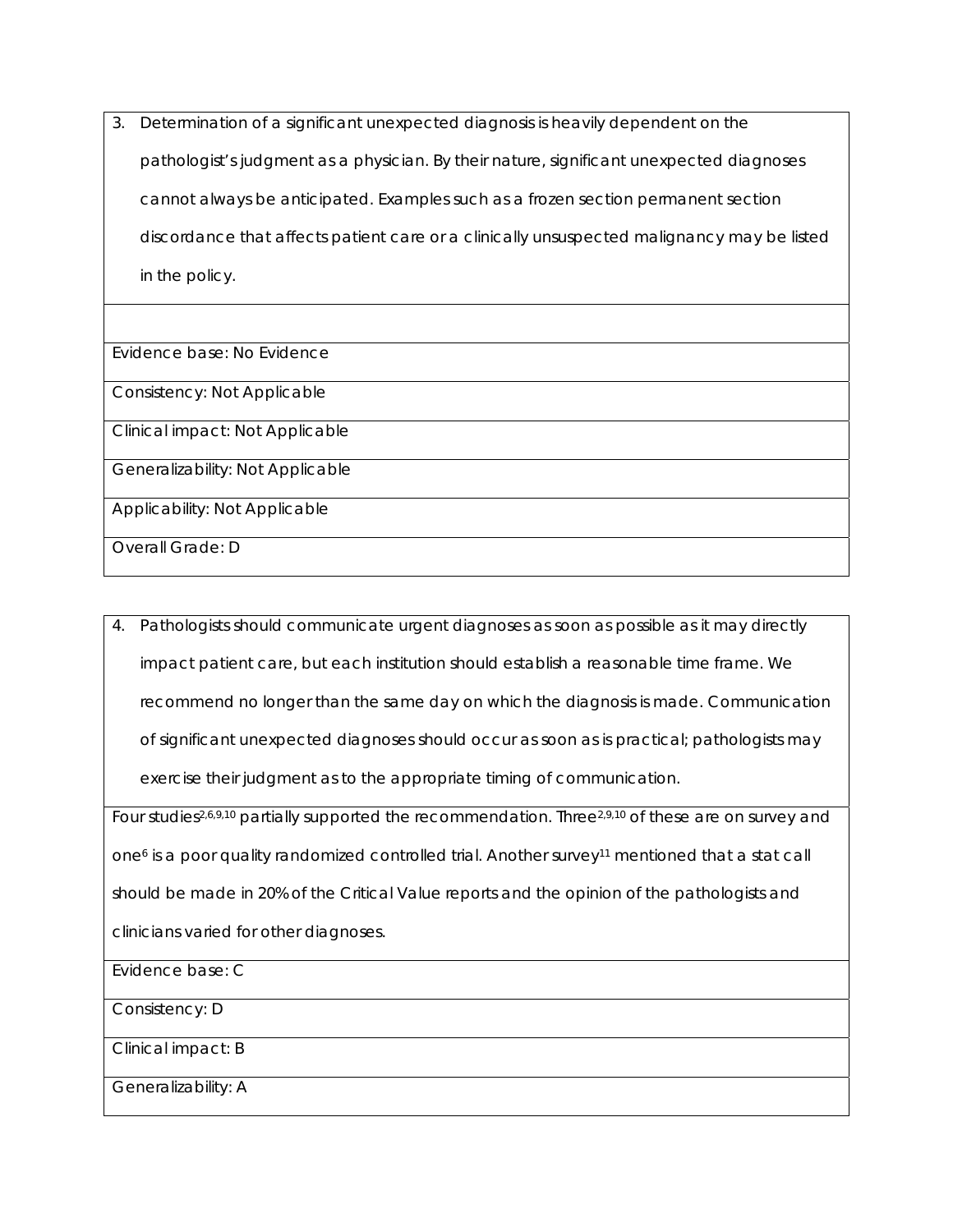3. Determination of a significant unexpected diagnosis is heavily dependent on the pathologist's judgment as a physician. By their nature, significant unexpected diagnoses cannot always be anticipated. Examples such as a frozen section permanent section discordance that affects patient care or a clinically unsuspected malignancy may be listed in the policy.

Evidence base: No Evidence

Consistency: Not Applicable

Clinical impact: Not Applicable

Generalizability: Not Applicable

Applicability: Not Applicable

Overall Grade: D

4. Pathologists should communicate urgent diagnoses as soon as possible as it may directly impact patient care, but each institution should establish a reasonable time frame. We recommend no longer than the same day on which the diagnosis is made. Communication of significant unexpected diagnoses should occur as soon as is practical; pathologists may exercise their judgment as to the appropriate timing of communication.

Four studies<sup>2,6,9,10</sup> partially supported the recommendation. Three<sup>2,9,10</sup> of these are on survey and one<sup>6</sup> is a poor quality randomized controlled trial. Another survey<sup>11</sup> mentioned that a stat call should be made in 20% of the Critical Value reports and the opinion of the pathologists and clinicians varied for other diagnoses.

Evidence base: C

Consistency: D

Clinical impact: B

Generalizability: A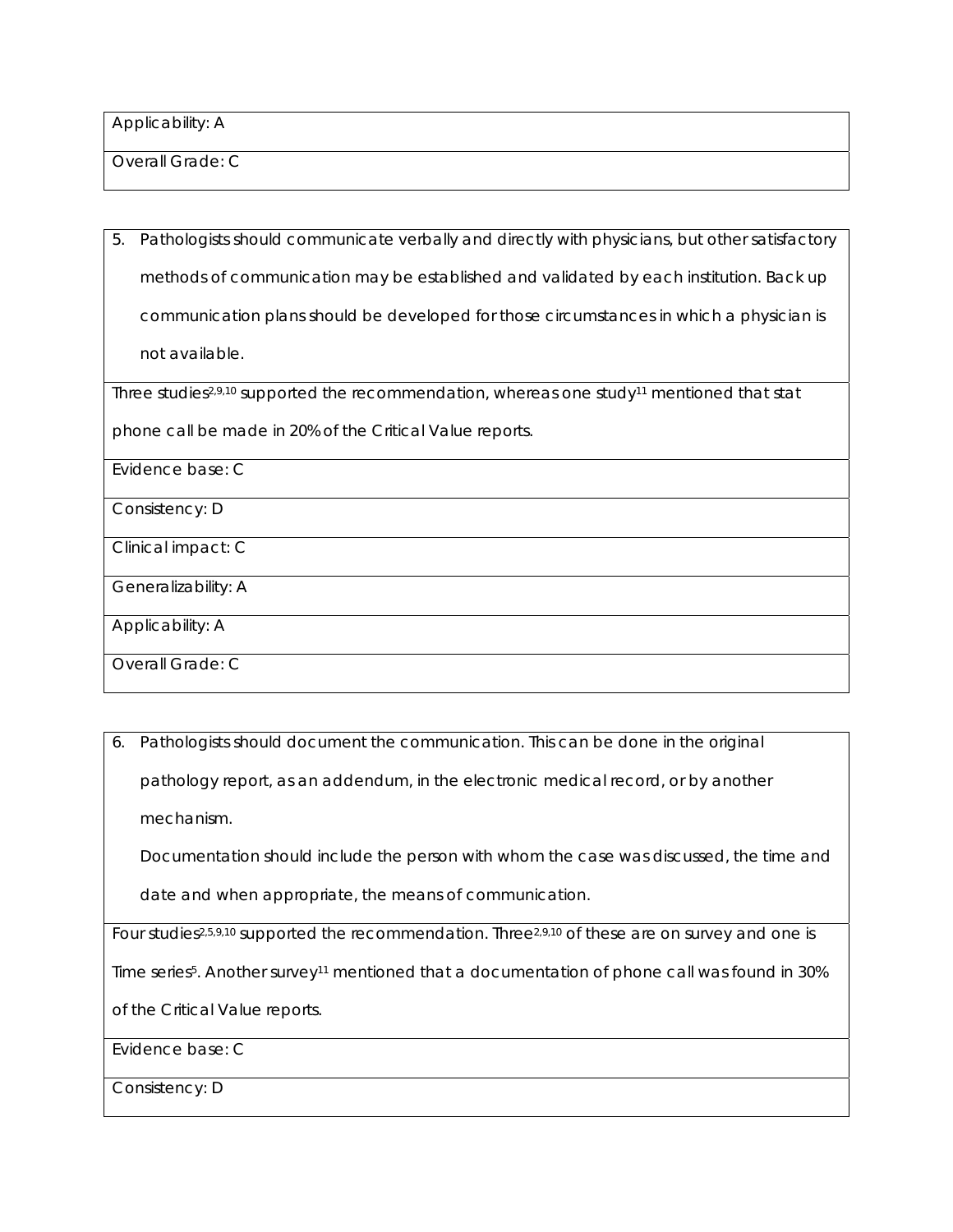Applicability: A

Overall Grade: C

5. Pathologists should communicate verbally and directly with physicians, but other satisfactory methods of communication may be established and validated by each institution. Back up communication plans should be developed for those circumstances in which a physician is not available.

Three studies<sup>2,9,10</sup> supported the recommendation, whereas one study<sup>11</sup> mentioned that stat

phone call be made in 20% of the Critical Value reports.

Evidence base: C

Consistency: D

Clinical impact: C

Generalizability: A

Applicability: A

Overall Grade: C

6. Pathologists should document the communication. This can be done in the original pathology report, as an addendum, in the electronic medical record, or by another mechanism.

Documentation should include the person with whom the case was discussed, the time and

date and when appropriate, the means of communication.

Four studies<sup>2,5,9,10</sup> supported the recommendation. Three<sup>2,9,10</sup> of these are on survey and one is

Time series<sup>5</sup>. Another survey<sup>11</sup> mentioned that a documentation of phone call was found in 30%

of the Critical Value reports.

Evidence base: C

Consistency: D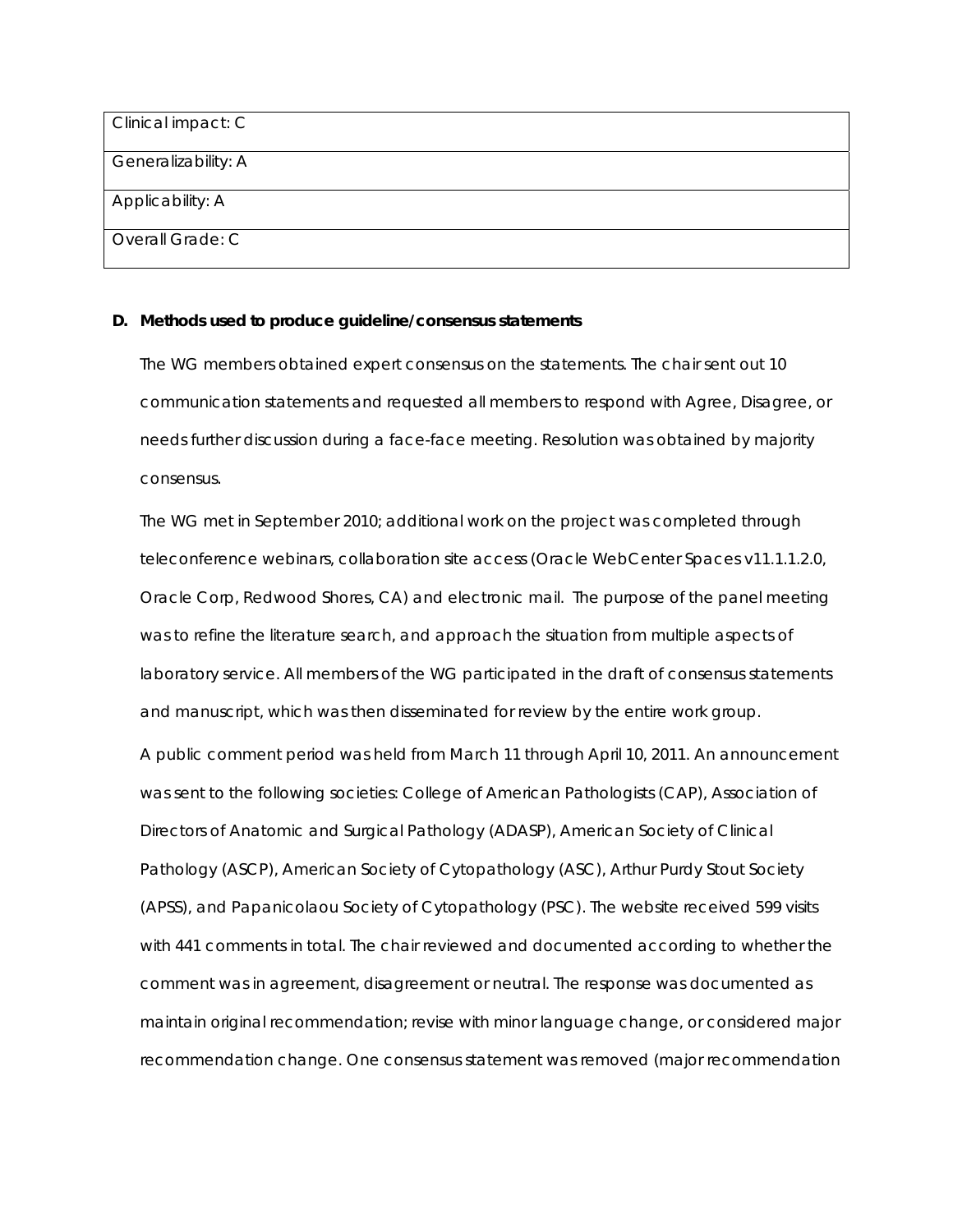| Clinical impact: C  |  |
|---------------------|--|
| Generalizability: A |  |
| Applicability: A    |  |
| Overall Grade: C    |  |

#### **D. Methods used to produce guideline/consensus statements**

The WG members obtained expert consensus on the statements. The chair sent out 10 communication statements and requested all members to respond with Agree, Disagree, or needs further discussion during a face-face meeting. Resolution was obtained by majority consensus.

The WG met in September 2010; additional work on the project was completed through teleconference webinars, collaboration site access (Oracle WebCenter Spaces v11.1.1.2.0, Oracle Corp, Redwood Shores, CA) and electronic mail. The purpose of the panel meeting was to refine the literature search, and approach the situation from multiple aspects of laboratory service. All members of the WG participated in the draft of consensus statements and manuscript, which was then disseminated for review by the entire work group. A public comment period was held from March 11 through April 10, 2011. An announcement was sent to the following societies: College of American Pathologists (CAP), Association of Directors of Anatomic and Surgical Pathology (ADASP), American Society of Clinical Pathology (ASCP), American Society of Cytopathology (ASC), Arthur Purdy Stout Society (APSS), and Papanicolaou Society of Cytopathology (PSC). The website received 599 visits with 441 comments in total. The chair reviewed and documented according to whether the comment was in agreement, disagreement or neutral. The response was documented as maintain original recommendation; revise with minor language change, or considered major recommendation change. One consensus statement was removed (major recommendation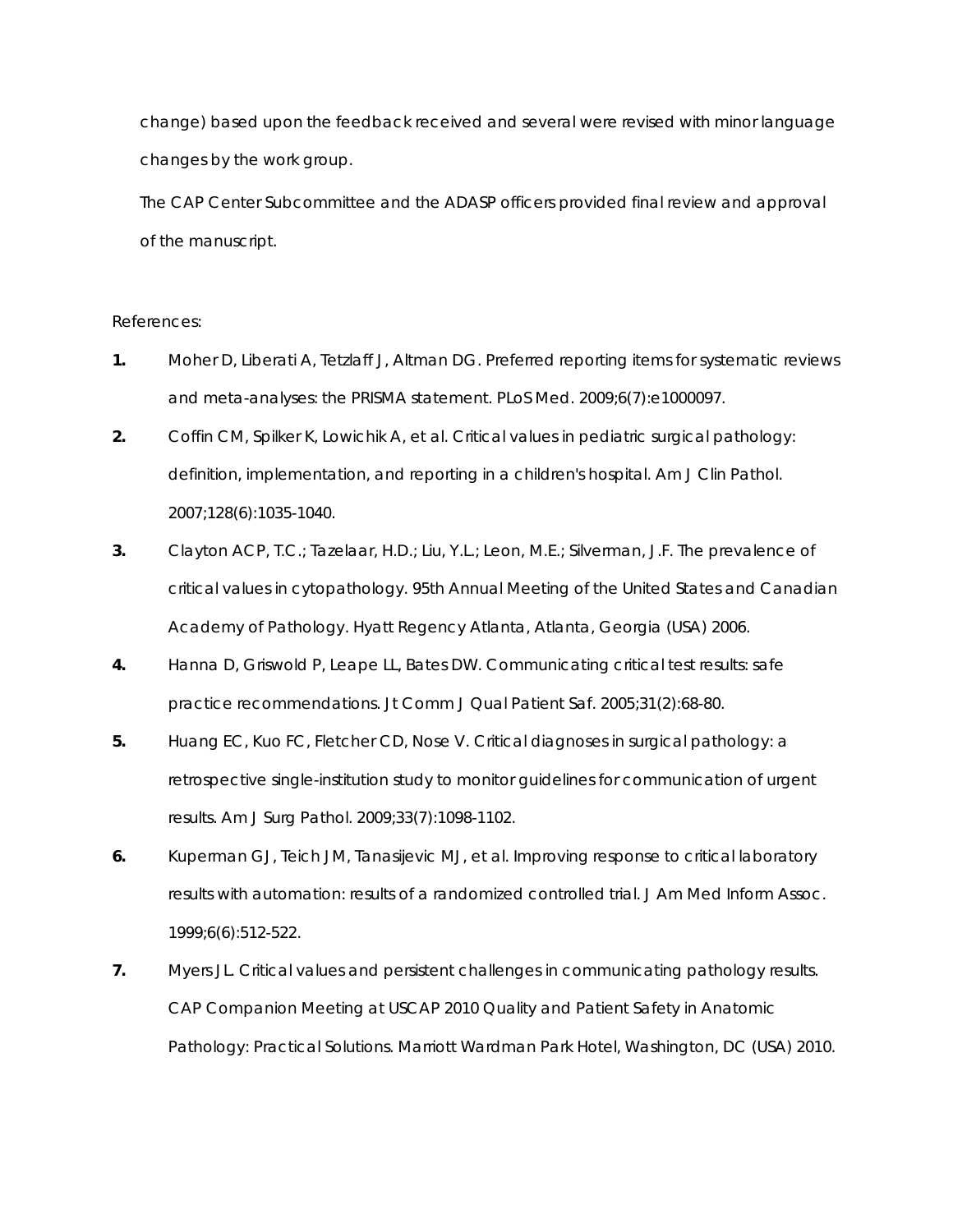change) based upon the feedback received and several were revised with minor language changes by the work group.

The CAP Center Subcommittee and the ADASP officers provided final review and approval of the manuscript.

#### References:

- **1.** Moher D, Liberati A, Tetzlaff J, Altman DG. Preferred reporting items for systematic reviews and meta-analyses: the PRISMA statement. *PLoS Med.* 2009;6(7):e1000097.
- **2.** Coffin CM, Spilker K, Lowichik A, et al. Critical values in pediatric surgical pathology: definition, implementation, and reporting in a children's hospital. *Am J Clin Pathol.*  2007;128(6):1035-1040.
- **3.** Clayton ACP, T.C.; Tazelaar, H.D.; Liu, Y.L.; Leon, M.E.; Silverman, J.F. The prevalence of critical values in cytopathology. *95th Annual Meeting of the United States and Canadian Academy of Pathology*. Hyatt Regency Atlanta, Atlanta, Georgia (USA) 2006.
- **4.** Hanna D, Griswold P, Leape LL, Bates DW. Communicating critical test results: safe practice recommendations. *Jt Comm J Qual Patient Saf.* 2005;31(2):68-80.
- **5.** Huang EC, Kuo FC, Fletcher CD, Nose V. Critical diagnoses in surgical pathology: a retrospective single-institution study to monitor guidelines for communication of urgent results. *Am J Surg Pathol.* 2009;33(7):1098-1102.
- **6.** Kuperman GJ, Teich JM, Tanasijevic MJ, et al. Improving response to critical laboratory results with automation: results of a randomized controlled trial. *J Am Med Inform Assoc.*  1999;6(6):512-522.
- **7.** Myers JL. Critical values and persistent challenges in communicating pathology results. *CAP Companion Meeting at USCAP 2010 Quality and Patient Safety in Anatomic Pathology: Practical Solutions*. Marriott Wardman Park Hotel, Washington, DC (USA) 2010.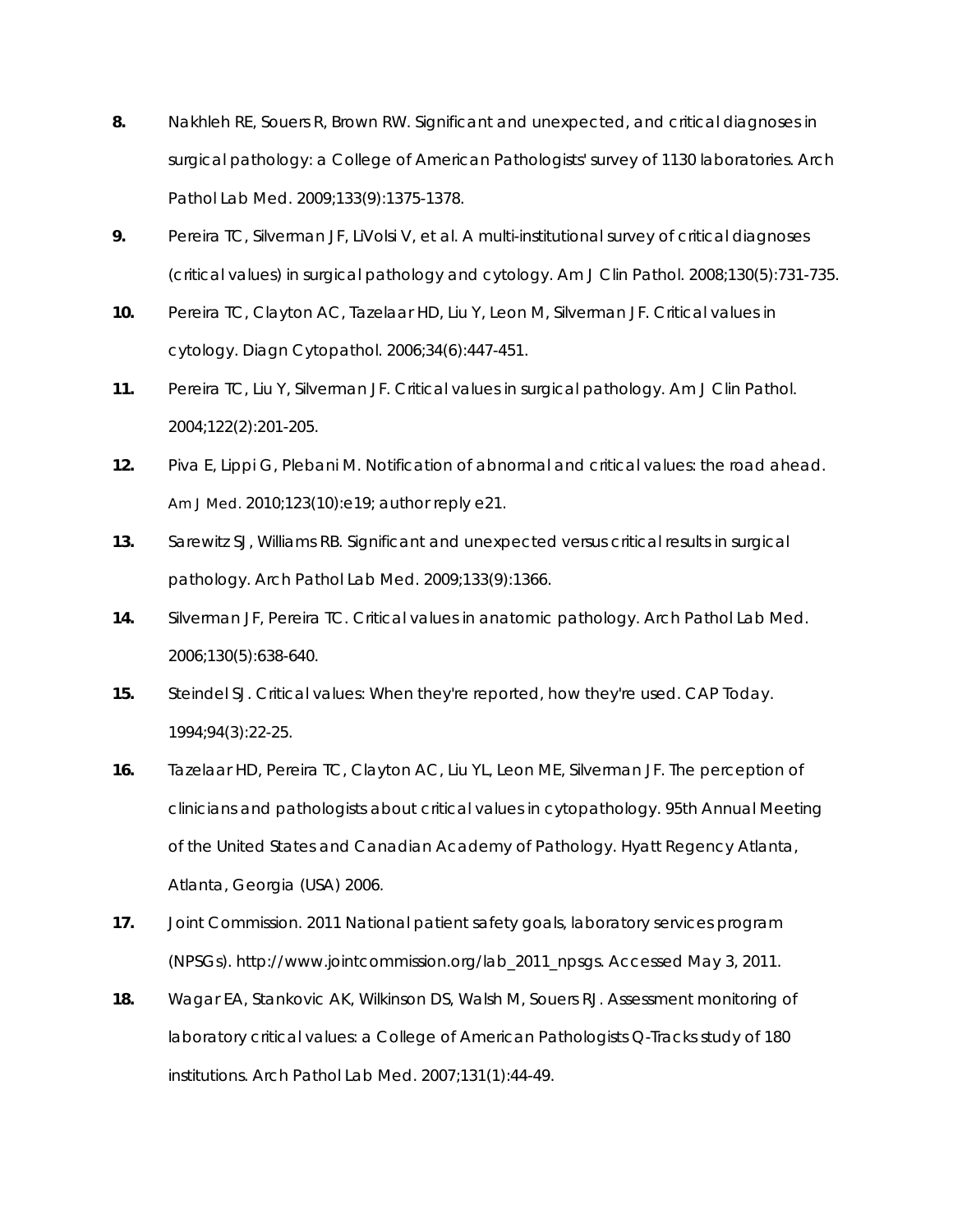- **8.** Nakhleh RE, Souers R, Brown RW. Significant and unexpected, and critical diagnoses in surgical pathology: a College of American Pathologists' survey of 1130 laboratories. *Arch Pathol Lab Med.* 2009;133(9):1375-1378.
- **9.** Pereira TC, Silverman JF, LiVolsi V, et al. A multi-institutional survey of critical diagnoses (critical values) in surgical pathology and cytology. *Am J Clin Pathol.* 2008;130(5):731-735.
- **10.** Pereira TC, Clayton AC, Tazelaar HD, Liu Y, Leon M, Silverman JF. Critical values in cytology. *Diagn Cytopathol.* 2006;34(6):447-451.
- **11.** Pereira TC, Liu Y, Silverman JF. Critical values in surgical pathology. *Am J Clin Pathol.*  2004;122(2):201-205.
- **12.** Piva E, Lippi G, Plebani M. Notification of abnormal and critical values: the road ahead. *Am J Med.* 2010;123(10):e19; author reply e21.
- **13.** Sarewitz SJ, Williams RB. Significant and unexpected versus critical results in surgical pathology. *Arch Pathol Lab Med.* 2009;133(9):1366.
- **14.** Silverman JF, Pereira TC. Critical values in anatomic pathology. *Arch Pathol Lab Med.*  2006;130(5):638-640.
- **15.** Steindel SJ. Critical values: When they're reported, how they're used. *CAP Today.*  1994;94(3):22-25.
- **16.** Tazelaar HD, Pereira TC, Clayton AC, Liu YL, Leon ME, Silverman JF. The perception of clinicians and pathologists about critical values in cytopathology. *95th Annual Meeting of the United States and Canadian Academy of Pathology*. Hyatt Regency Atlanta, Atlanta, Georgia (USA) 2006.
- **17.** Joint Commission. 2011 National patient safety goals, laboratory services program (NPSGs). http://www.jointcommission.org/lab\_2011\_npsgs. Accessed May 3, 2011.
- **18.** Wagar EA, Stankovic AK, Wilkinson DS, Walsh M, Souers RJ. Assessment monitoring of laboratory critical values: a College of American Pathologists Q-Tracks study of 180 institutions. *Arch Pathol Lab Med.* 2007;131(1):44-49.